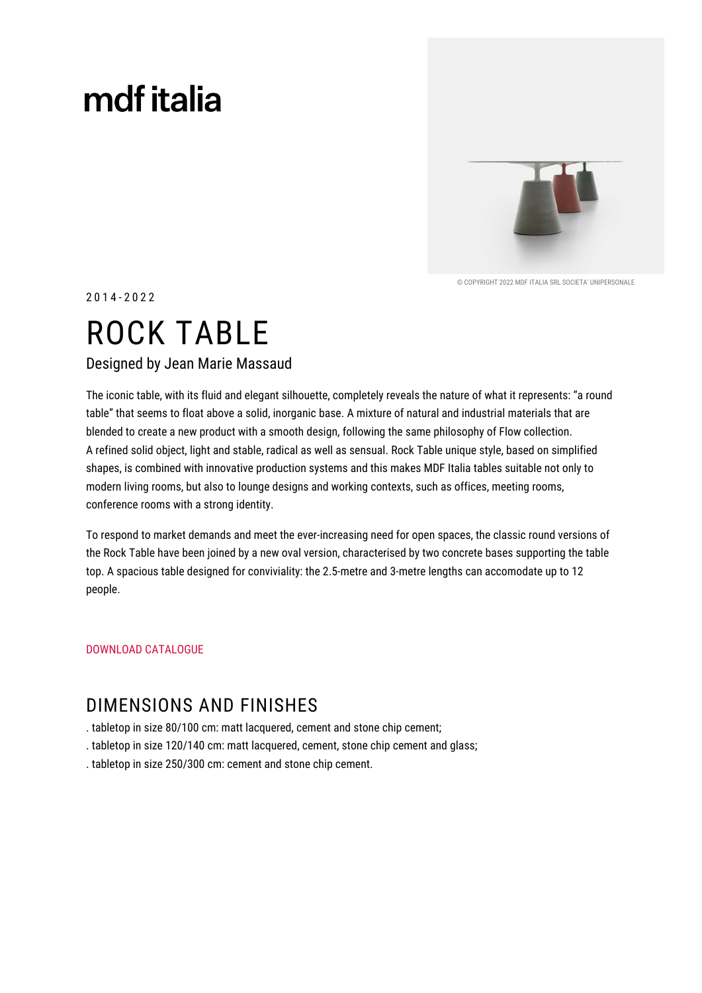# mdf italia



© COPYRIGHT 2022 MDE ITALIA SRL SOCIETA' UNIPERSONALE

 $2014 - 2022$ 

# **ROCK TABLE**

Designed by Jean Marie Massaud

The iconic table, with its fluid and elegant silhouette, completely reveals the nature of what it represents: "a round table" that seems to float above a solid, inorganic base. A mixture of natural and industrial materials that are blended to create a new product with a smooth design, following the same philosophy of Flow collection. A refined solid object, light and stable, radical as well as sensual. Rock Table unique style, based on simplified shapes, is combined with innovative production systems and this makes MDF Italia tables suitable not only to modern living rooms, but also to lounge designs and working contexts, such as offices, meeting rooms, conference rooms with a strong identity.

To respond to market demands and meet the ever-increasing need for open spaces, the classic round versions of the Rock Table have been joined by a new oval version, characterised by two concrete bases supporting the table top. A spacious table designed for conviviality: the 2.5-metre and 3-metre lengths can accomodate up to 12 people.

### DOWNLOAD CATALOGUE

## DIMENSIONS AND FINISHES

- . tabletop in size 80/100 cm: matt lacquered, cement and stone chip cement;
- . tabletop in size 120/140 cm: matt lacquered, cement, stone chip cement and glass;
- . tabletop in size 250/300 cm: cement and stone chip cement.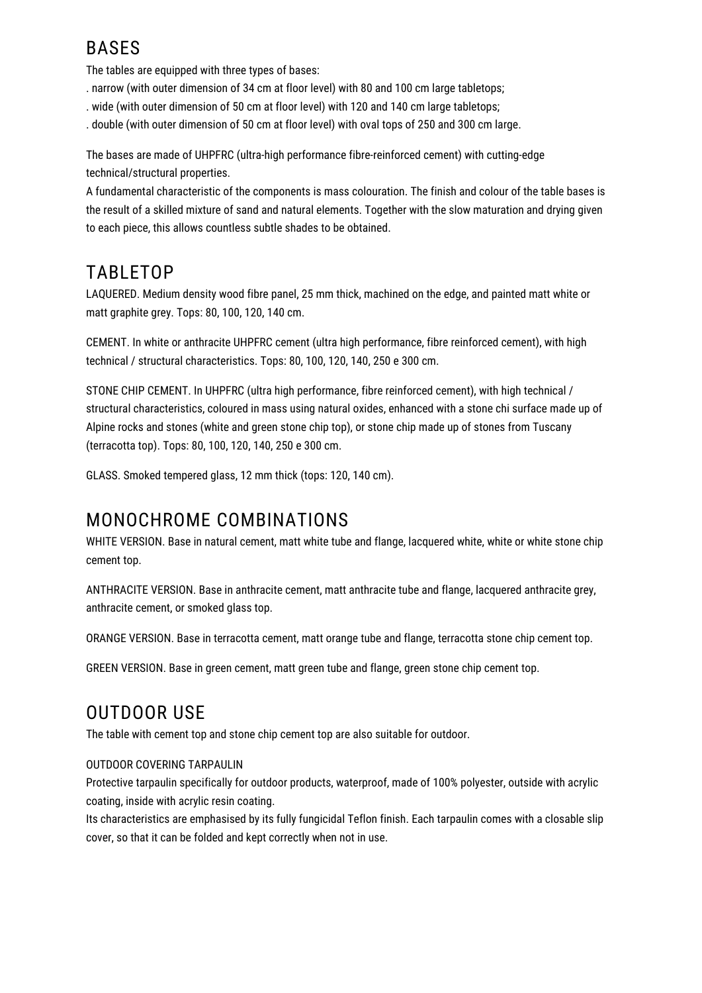## **BASES**

The tables are equipped with three types of bases:

- . narrow (with outer dimension of 34 cm at floor level) with 80 and 100 cm large tabletops;
- . wide (with outer dimension of 50 cm at floor level) with 120 and 140 cm large tabletops;
- . double (with outer dimension of 50 cm at floor level) with oval tops of 250 and 300 cm large.

The bases are made of UHPFRC (ultra-high performance fibre-reinforced cement) with cutting-edge technical/structural properties.

A fundamental characteristic of the components is mass colouration. The finish and colour of the table bases is the result of a skilled mixture of sand and natural elements. Together with the slow maturation and drying given to each piece, this allows countless subtle shades to be obtained.

## **TABLETOP**

LAOUERED. Medium density wood fibre panel. 25 mm thick, machined on the edge, and painted matt white or matt graphite grey. Tops: 80, 100, 120, 140 cm.

CEMENT. In white or anthracite UHPFRC cement (ultra high performance, fibre reinforced cement), with high technical / structural characteristics. Tops: 80, 100, 120, 140, 250 e 300 cm.

STONE CHIP CEMENT. In UHPFRC (ultra high performance, fibre reinforced cement), with high technical / structural characteristics, coloured in mass using natural oxides, enhanced with a stone chi surface made up of Alpine rocks and stones (white and green stone chip top), or stone chip made up of stones from Tuscany (terracotta top). Tops: 80, 100, 120, 140, 250 e 300 cm.

GLASS. Smoked tempered glass, 12 mm thick (tops: 120, 140 cm).

## MONOCHROME COMBINATIONS

WHITE VERSION. Base in natural cement, matt white tube and flange, lacquered white, white or white stone chip cement top.

ANTHRACITE VERSION. Base in anthracite cement, matt anthracite tube and flange, lacquered anthracite grey, anthracite cement, or smoked glass top.

ORANGE VERSION. Base in terracotta cement, matt orange tube and flange, terracotta stone chip cement top.

GREEN VERSION. Base in green cement, matt green tube and flange, green stone chip cement top.

## **OUTDOOR USE**

The table with cement top and stone chip cement top are also suitable for outdoor.

### OUTDOOR COVERING TARPAULIN

Protective tarpaulin specifically for outdoor products, waterproof, made of 100% polyester, outside with acrylic coating, inside with acrylic resin coating.

Its characteristics are emphasised by its fully fungicidal Teflon finish. Each tarpaulin comes with a closable slip cover, so that it can be folded and kept correctly when not in use.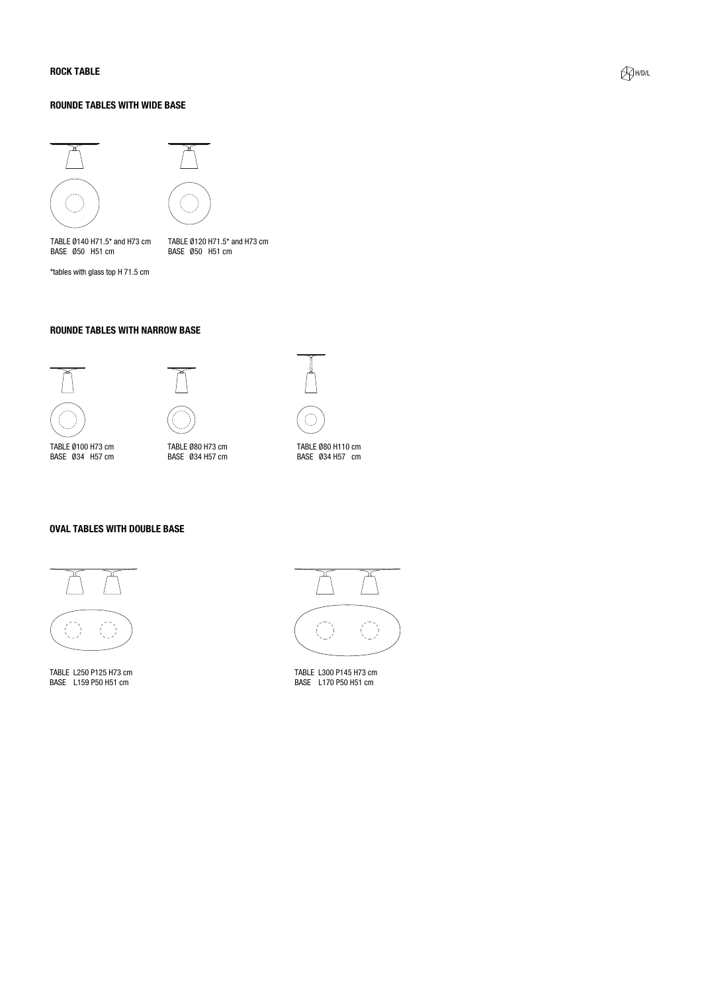#### **ROCK TABLE**

#### **ROUNDE TABLES WITH WIDE BASE**



TABLE Ø140 H71.5\* and H73 cm<br>BASE Ø50 H51 cm

\*tables with glass top H 71.5 cm



#### **ROUNDE TABLES WITH NARROW BASE**





TABLE Ø100 H73 cm BASE 034 H57 cm

TABLE Ø80 H73 cm

BASE 034 H57 cm



#### **OVAL TABLES WITH DOUBLE BASE**



TABLE L250 P125 H73 cm BASE L159 P50 H51 cm



TABLE L300 P145 H73 cm BASE L170 P50 H51 cm

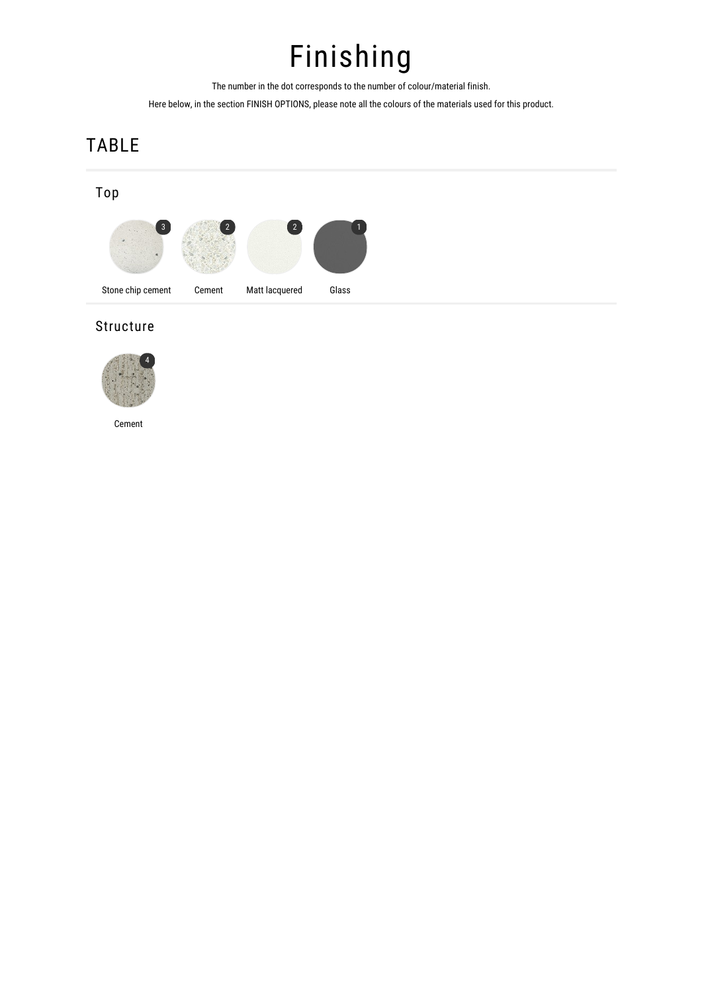# Finishing

The number in the dot corresponds to the number of colour/material finish.

Here below, in the section FINISH OPTIONS, please note all the colours of the materials used for this product.

## **TABLE**

### Top  $\overline{\mathbf{2}}$  $\overline{2}$ Stone chip cement Matt lacquered Cement Glass

### Structure



Cement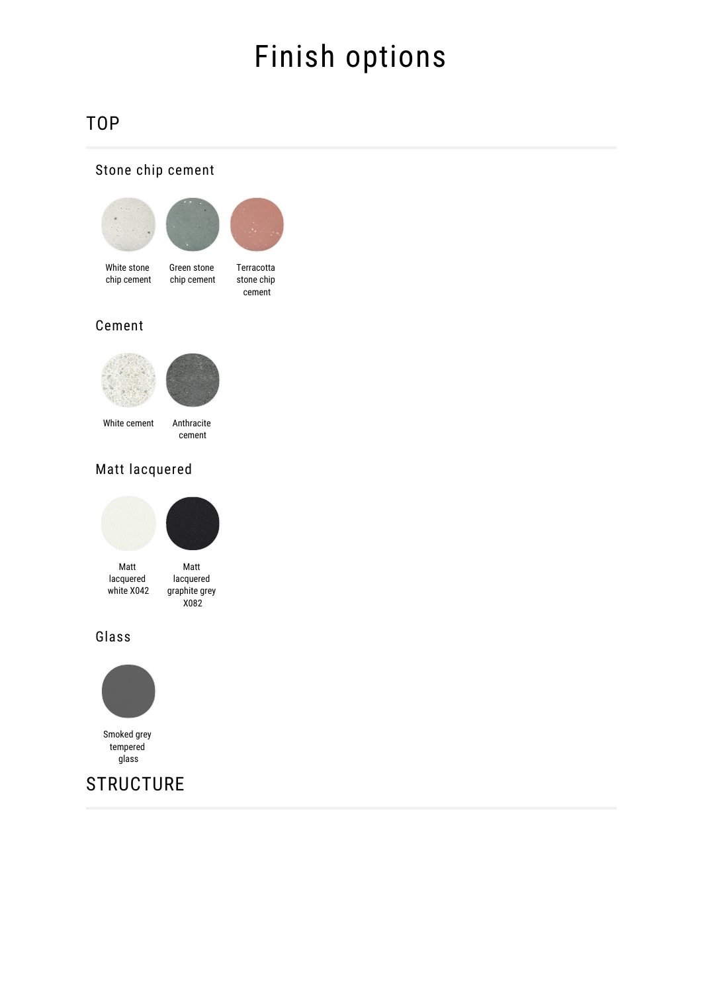# Finish options

## **TOP**

### Stone chip cement





White stone chip cement

Green stone Terracotta chip cement stone chip cement

### Cement





White cement

Anthracite cement

### Matt lacquered



Matt lacquered white X042



Glass



Smoked grey tempered glass

## **STRUCTURE**